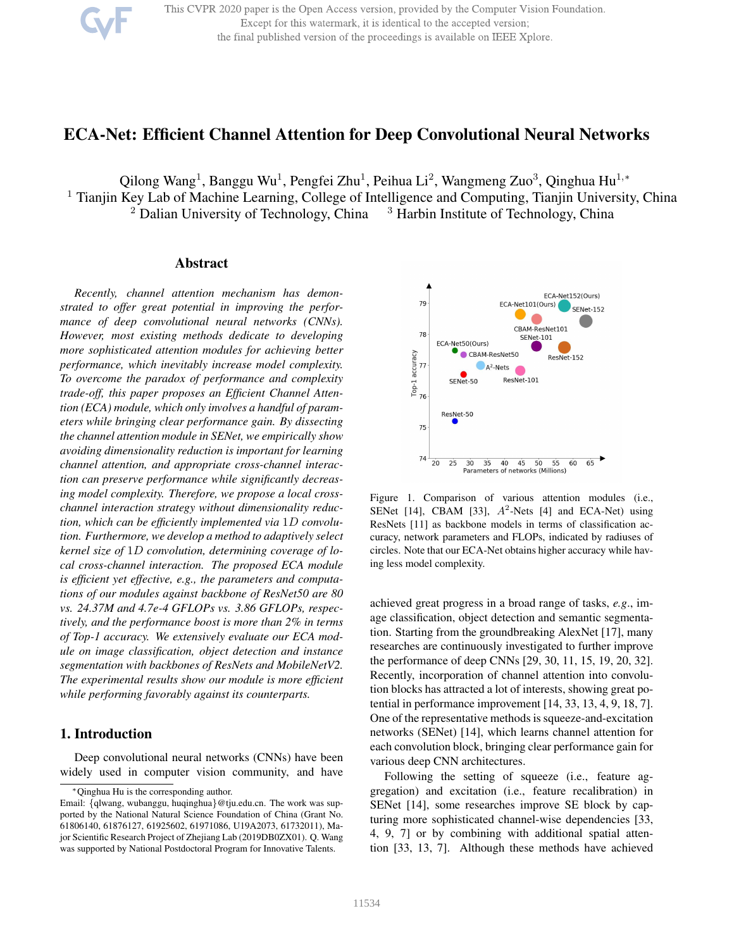This CVPR 2020 paper is the Open Access version, provided by the Computer Vision Foundation. Except for this watermark, it is identical to the accepted version; the final published version of the proceedings is available on IEEE Xplore.

# ECA-Net: Efficient Channel Attention for Deep Convolutional Neural Networks

Qilong Wang<sup>1</sup>, Banggu Wu<sup>1</sup>, Pengfei Zhu<sup>1</sup>, Peihua Li<sup>2</sup>, Wangmeng Zuo<sup>3</sup>, Qinghua Hu<sup>1,\*</sup>

<sup>1</sup> Tianjin Key Lab of Machine Learning, College of Intelligence and Computing, Tianjin University, China

 $2$  Dalian University of Technology, China  $3$  Harbin Institute of Technology, China

# Abstract

*Recently, channel attention mechanism has demonstrated to offer great potential in improving the performance of deep convolutional neural networks (CNNs). However, most existing methods dedicate to developing more sophisticated attention modules for achieving better performance, which inevitably increase model complexity. To overcome the paradox of performance and complexity trade-off, this paper proposes an Efficient Channel Attention (ECA) module, which only involves a handful of parameters while bringing clear performance gain. By dissecting the channel attention module in SENet, we empirically show avoiding dimensionality reduction is important for learning channel attention, and appropriate cross-channel interaction can preserve performance while significantly decreasing model complexity. Therefore, we propose a local crosschannel interaction strategy without dimensionality reduction, which can be efficiently implemented via* 1D *convolution. Furthermore, we develop a method to adaptively select kernel size of* 1D *convolution, determining coverage of local cross-channel interaction. The proposed ECA module is efficient yet effective, e.g., the parameters and computations of our modules against backbone of ResNet50 are 80 vs. 24.37M and 4.7e-4 GFLOPs vs. 3.86 GFLOPs, respectively, and the performance boost is more than 2% in terms of Top-1 accuracy. We extensively evaluate our ECA module on image classification, object detection and instance segmentation with backbones of ResNets and MobileNetV2. The experimental results show our module is more efficient while performing favorably against its counterparts.*

# 1. Introduction

Deep convolutional neural networks (CNNs) have been widely used in computer vision community, and have



Figure 1. Comparison of various attention modules (i.e., SENet [14], CBAM [33],  $A^2$ -Nets [4] and ECA-Net) using ResNets [11] as backbone models in terms of classification accuracy, network parameters and FLOPs, indicated by radiuses of circles. Note that our ECA-Net obtains higher accuracy while having less model complexity.

achieved great progress in a broad range of tasks, *e.g*., image classification, object detection and semantic segmentation. Starting from the groundbreaking AlexNet [17], many researches are continuously investigated to further improve the performance of deep CNNs [29, 30, 11, 15, 19, 20, 32]. Recently, incorporation of channel attention into convolution blocks has attracted a lot of interests, showing great potential in performance improvement [14, 33, 13, 4, 9, 18, 7]. One of the representative methods is squeeze-and-excitation networks (SENet) [14], which learns channel attention for each convolution block, bringing clear performance gain for various deep CNN architectures.

Following the setting of squeeze (i.e., feature aggregation) and excitation (i.e., feature recalibration) in SENet [14], some researches improve SE block by capturing more sophisticated channel-wise dependencies [33, 4, 9, 7] or by combining with additional spatial attention [33, 13, 7]. Although these methods have achieved

<sup>∗</sup>Qinghua Hu is the corresponding author.

Email: {qlwang, wubanggu, huqinghua}@tju.edu.cn. The work was supported by the National Natural Science Foundation of China (Grant No. 61806140, 61876127, 61925602, 61971086, U19A2073, 61732011), Major Scientific Research Project of Zhejiang Lab (2019DB0ZX01). Q. Wang was supported by National Postdoctoral Program for Innovative Talents.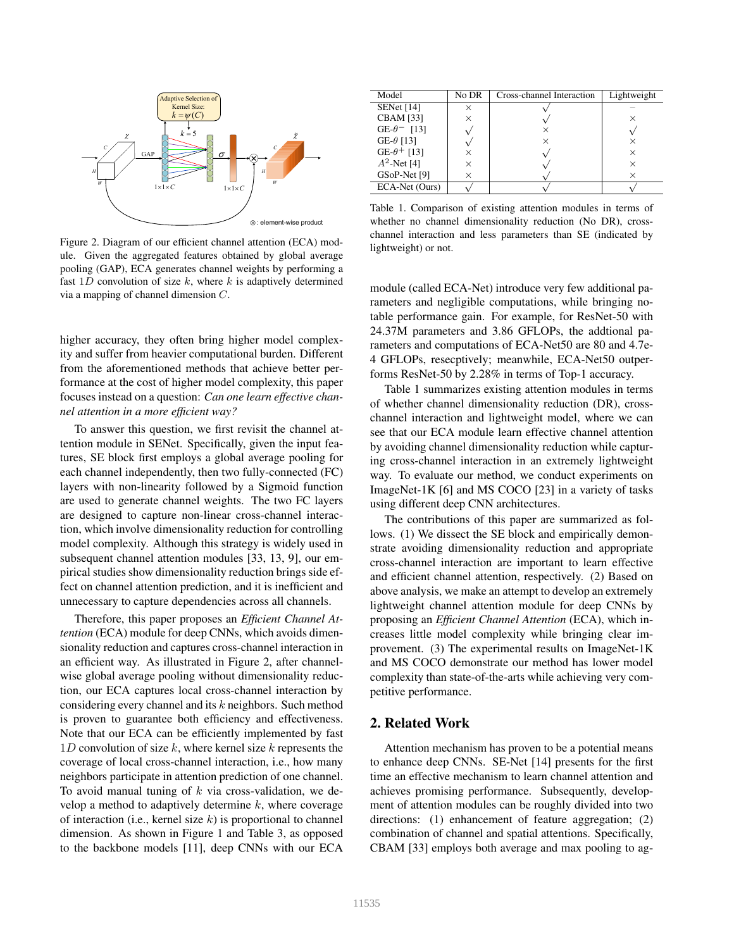

Figure 2. Diagram of our efficient channel attention (ECA) module. Given the aggregated features obtained by global average pooling (GAP), ECA generates channel weights by performing a fast  $1D$  convolution of size k, where k is adaptively determined via a mapping of channel dimension C.

higher accuracy, they often bring higher model complexity and suffer from heavier computational burden. Different from the aforementioned methods that achieve better performance at the cost of higher model complexity, this paper focuses instead on a question: *Can one learn effective channel attention in a more efficient way?*

To answer this question, we first revisit the channel attention module in SENet. Specifically, given the input features, SE block first employs a global average pooling for each channel independently, then two fully-connected (FC) layers with non-linearity followed by a Sigmoid function are used to generate channel weights. The two FC layers are designed to capture non-linear cross-channel interaction, which involve dimensionality reduction for controlling model complexity. Although this strategy is widely used in subsequent channel attention modules [33, 13, 9], our empirical studies show dimensionality reduction brings side effect on channel attention prediction, and it is inefficient and unnecessary to capture dependencies across all channels.

Therefore, this paper proposes an *Efficient Channel Attention* (ECA) module for deep CNNs, which avoids dimensionality reduction and captures cross-channel interaction in an efficient way. As illustrated in Figure 2, after channelwise global average pooling without dimensionality reduction, our ECA captures local cross-channel interaction by considering every channel and its k neighbors. Such method is proven to guarantee both efficiency and effectiveness. Note that our ECA can be efficiently implemented by fast 1D convolution of size  $k$ , where kernel size  $k$  represents the coverage of local cross-channel interaction, i.e., how many neighbors participate in attention prediction of one channel. To avoid manual tuning of  $k$  via cross-validation, we develop a method to adaptively determine  $k$ , where coverage of interaction (i.e., kernel size  $k$ ) is proportional to channel dimension. As shown in Figure 1 and Table 3, as opposed to the backbone models [11], deep CNNs with our ECA

| Model                          | No DR    | Cross-channel Interaction | Lightweight |
|--------------------------------|----------|---------------------------|-------------|
| <b>SENet</b> [14]              | $\times$ |                           |             |
| <b>CBAM</b> [33]               | $\times$ |                           | ×           |
| GE- $\theta$ <sup>-</sup> [13] |          |                           |             |
| GE- $\theta$ [13]              |          | $\times$                  | ×           |
| GE- $\theta$ <sup>+</sup> [13] |          |                           | $\times$    |
| $A^2$ -Net [4]                 | $\times$ |                           | $\times$    |
| GSoP-Net [9]                   | $\times$ |                           | ×           |
| ECA-Net (Ours)                 |          |                           |             |

Table 1. Comparison of existing attention modules in terms of whether no channel dimensionality reduction (No DR), crosschannel interaction and less parameters than SE (indicated by lightweight) or not.

module (called ECA-Net) introduce very few additional parameters and negligible computations, while bringing notable performance gain. For example, for ResNet-50 with 24.37M parameters and 3.86 GFLOPs, the addtional parameters and computations of ECA-Net50 are 80 and 4.7e-4 GFLOPs, resecptively; meanwhile, ECA-Net50 outperforms ResNet-50 by 2.28% in terms of Top-1 accuracy.

Table 1 summarizes existing attention modules in terms of whether channel dimensionality reduction (DR), crosschannel interaction and lightweight model, where we can see that our ECA module learn effective channel attention by avoiding channel dimensionality reduction while capturing cross-channel interaction in an extremely lightweight way. To evaluate our method, we conduct experiments on ImageNet-1K [6] and MS COCO [23] in a variety of tasks using different deep CNN architectures.

The contributions of this paper are summarized as follows. (1) We dissect the SE block and empirically demonstrate avoiding dimensionality reduction and appropriate cross-channel interaction are important to learn effective and efficient channel attention, respectively. (2) Based on above analysis, we make an attempt to develop an extremely lightweight channel attention module for deep CNNs by proposing an *Efficient Channel Attention* (ECA), which increases little model complexity while bringing clear improvement. (3) The experimental results on ImageNet-1K and MS COCO demonstrate our method has lower model complexity than state-of-the-arts while achieving very competitive performance.

# 2. Related Work

Attention mechanism has proven to be a potential means to enhance deep CNNs. SE-Net [14] presents for the first time an effective mechanism to learn channel attention and achieves promising performance. Subsequently, development of attention modules can be roughly divided into two directions: (1) enhancement of feature aggregation; (2) combination of channel and spatial attentions. Specifically, CBAM [33] employs both average and max pooling to ag-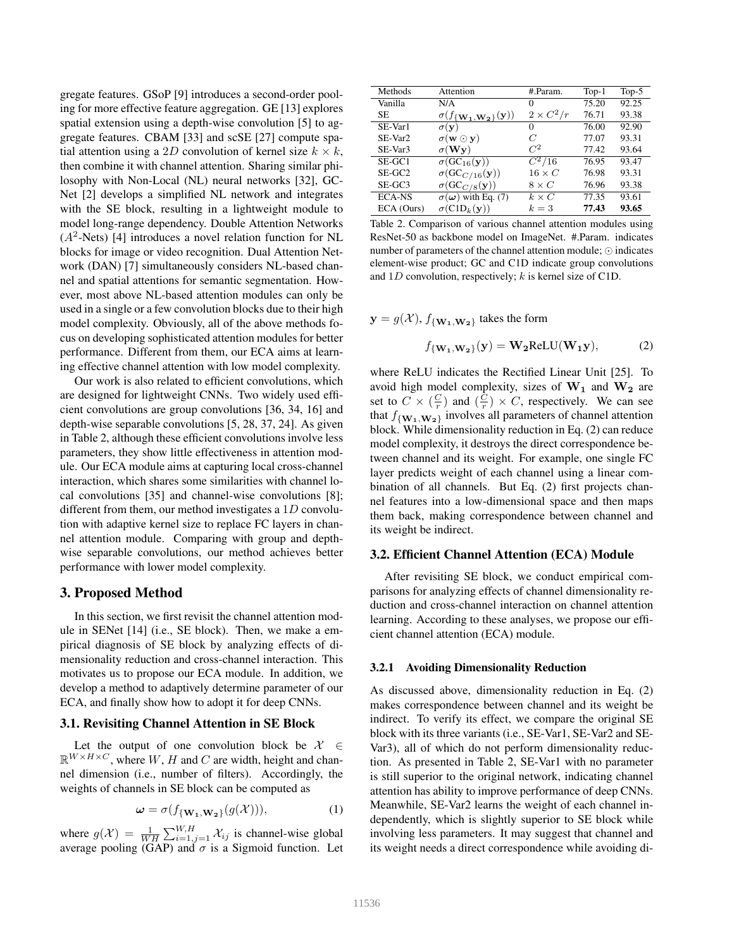gregate features. GSoP [9] introduces a second-order pooling for more effective feature aggregation. GE [13] explores spatial extension using a depth-wise convolution [5] to aggregate features. CBAM [33] and scSE [27] compute spatial attention using a 2D convolution of kernel size  $k \times k$ , then combine it with channel attention. Sharing similar philosophy with Non-Local (NL) neural networks [32], GC-Net [2] develops a simplified NL network and integrates with the SE block, resulting in a lightweight module to model long-range dependency. Double Attention Networks  $(A<sup>2</sup>-Nets)$  [4] introduces a novel relation function for NL blocks for image or video recognition. Dual Attention Network (DAN) [7] simultaneously considers NL-based channel and spatial attentions for semantic segmentation. However, most above NL-based attention modules can only be used in a single or a few convolution blocks due to their high model complexity. Obviously, all of the above methods focus on developing sophisticated attention modules for better performance. Different from them, our ECA aims at learning effective channel attention with low model complexity.

Our work is also related to efficient convolutions, which are designed for lightweight CNNs. Two widely used efficient convolutions are group convolutions [36, 34, 16] and depth-wise separable convolutions [5, 28, 37, 24]. As given in Table 2, although these efficient convolutions involve less parameters, they show little effectiveness in attention module. Our ECA module aims at capturing local cross-channel interaction, which shares some similarities with channel local convolutions [35] and channel-wise convolutions [8]; different from them, our method investigates a  $1D$  convolution with adaptive kernel size to replace FC layers in channel attention module. Comparing with group and depthwise separable convolutions, our method achieves better performance with lower model complexity.

### 3. Proposed Method

In this section, we first revisit the channel attention module in SENet [14] (i.e., SE block). Then, we make a empirical diagnosis of SE block by analyzing effects of dimensionality reduction and cross-channel interaction. This motivates us to propose our ECA module. In addition, we develop a method to adaptively determine parameter of our ECA, and finally show how to adopt it for deep CNNs.

# 3.1. Revisiting Channel Attention in SE Block

Let the output of one convolution block be  $X$  $\mathbb{R}^{W \times H \times C}$ , where W, H and C are width, height and channel dimension (i.e., number of filters). Accordingly, the weights of channels in SE block can be computed as

$$
\omega = \sigma(f_{\{\mathbf{W_1}, \mathbf{W_2}\}}(g(\mathcal{X}))), \tag{1}
$$

where  $g(\mathcal{X}) = \frac{1}{WH} \sum_{i=1, j=1}^{W, H} \mathcal{X}_{ij}$  is channel-wise global average pooling (GAP) and  $\sigma$  is a Sigmoid function. Let

| Methods            | Attention                                | #.Param.         | $Top-1$ | $Top-5$ |
|--------------------|------------------------------------------|------------------|---------|---------|
| Vanilla            | N/A                                      |                  | 75.20   | 92.25   |
| <b>SE</b>          | $\sigma(f_{\{W_1,W_2\}}(\mathbf{y}))$    | $2 \times C^2/r$ | 76.71   | 93.38   |
| SE-Var1            | $\sigma({\bf v})$                        | 0                | 76.00   | 92.90   |
| SE-Var2            | $\sigma(\mathbf{w} \odot \mathbf{y})$    | C                | 77.07   | 93.31   |
| SE-Var3            | $\sigma(Wy)$                             | $C^2$            | 77.42   | 93.64   |
| SE-GC1             | $\sigma(GC_{16}(\mathbf{y}))$            | $C^2/16$         | 76.95   | 93.47   |
| SE-GC <sub>2</sub> | $\sigma(\mathrm{GC}_{C/16}(\mathbf{y}))$ | $16 \times C$    | 76.98   | 93.31   |
| SE-GC3             | $\sigma(GC_{C/8}(\mathbf{y}))$           | $8 \times C$     | 76.96   | 93.38   |
| <b>ECA-NS</b>      | $\sigma(\omega)$ with Eq. (7)            | $k \times C$     | 77.35   | 93.61   |
| ECA (Ours)         | $\sigma$ (C1D <sub>k</sub> (y))          | $k=3$            | 77.43   | 93.65   |

Table 2. Comparison of various channel attention modules using ResNet-50 as backbone model on ImageNet. #.Param. indicates number of parameters of the channel attention module; ⊙ indicates element-wise product; GC and C1D indicate group convolutions and  $1D$  convolution, respectively; k is kernel size of C1D.

 $y = g(\mathcal{X}), f_{\{W_1, W_2\}}$  takes the form

$$
f_{\{\mathbf{W_1}, \mathbf{W_2}\}}(\mathbf{y}) = \mathbf{W_2} \text{ReLU}(\mathbf{W_1 y}),\tag{2}
$$

where ReLU indicates the Rectified Linear Unit [25]. To avoid high model complexity, sizes of  $W_1$  and  $W_2$  are set to  $C \times (\frac{C}{r})$  and  $(\frac{C}{r}) \times C$ , respectively. We can see that  $f_{\{W_1,W_2\}}$  involves all parameters of channel attention block. While dimensionality reduction in Eq. (2) can reduce model complexity, it destroys the direct correspondence between channel and its weight. For example, one single FC layer predicts weight of each channel using a linear combination of all channels. But Eq. (2) first projects channel features into a low-dimensional space and then maps them back, making correspondence between channel and its weight be indirect.

### 3.2. Efficient Channel Attention (ECA) Module

After revisiting SE block, we conduct empirical comparisons for analyzing effects of channel dimensionality reduction and cross-channel interaction on channel attention learning. According to these analyses, we propose our efficient channel attention (ECA) module.

#### 3.2.1 Avoiding Dimensionality Reduction

As discussed above, dimensionality reduction in Eq. (2) makes correspondence between channel and its weight be indirect. To verify its effect, we compare the original SE block with its three variants (i.e., SE-Var1, SE-Var2 and SE-Var3), all of which do not perform dimensionality reduction. As presented in Table 2, SE-Var1 with no parameter is still superior to the original network, indicating channel attention has ability to improve performance of deep CNNs. Meanwhile, SE-Var2 learns the weight of each channel independently, which is slightly superior to SE block while involving less parameters. It may suggest that channel and its weight needs a direct correspondence while avoiding di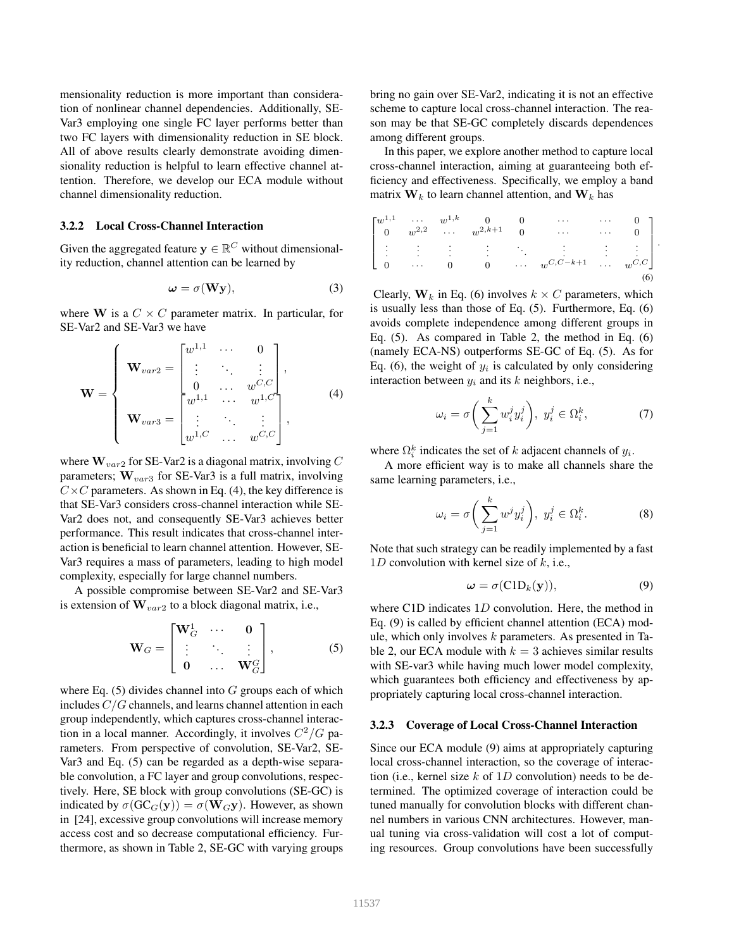mensionality reduction is more important than consideration of nonlinear channel dependencies. Additionally, SE-Var3 employing one single FC layer performs better than two FC layers with dimensionality reduction in SE block. All of above results clearly demonstrate avoiding dimensionality reduction is helpful to learn effective channel attention. Therefore, we develop our ECA module without channel dimensionality reduction.

### 3.2.2 Local Cross-Channel Interaction

Given the aggregated feature  $y \in \mathbb{R}^C$  without dimensionality reduction, channel attention can be learned by

$$
\omega = \sigma(\mathbf{W}\mathbf{y}),\tag{3}
$$

where W is a  $C \times C$  parameter matrix. In particular, for SE-Var2 and SE-Var3 we have

$$
\mathbf{W} = \begin{cases} \mathbf{W}_{var2} = \begin{bmatrix} w^{1,1} & \cdots & 0 \\ \vdots & \ddots & \vdots \\ 0 & \cdots & w^{C,C} \\ \vdots & \ddots & \vdots \\ w^{1,1} & \cdots & w^{1,C} \\ \vdots & \ddots & \vdots \\ w^{1,C} & \cdots & w^{C,C} \end{bmatrix}, \end{cases}
$$
 (4)

where  $\mathbf{W}_{var2}$  for SE-Var2 is a diagonal matrix, involving C parameters;  $\mathbf{W}_{var3}$  for SE-Var3 is a full matrix, involving  $C \times C$  parameters. As shown in Eq. (4), the key difference is that SE-Var3 considers cross-channel interaction while SE-Var2 does not, and consequently SE-Var3 achieves better performance. This result indicates that cross-channel interaction is beneficial to learn channel attention. However, SE-Var3 requires a mass of parameters, leading to high model complexity, especially for large channel numbers.

A possible compromise between SE-Var2 and SE-Var3 is extension of  $\mathbf{W}_{var2}$  to a block diagonal matrix, i.e.,

$$
\mathbf{W}_G = \begin{bmatrix} \mathbf{W}_G^1 & \cdots & \mathbf{0} \\ \vdots & \ddots & \vdots \\ \mathbf{0} & \cdots & \mathbf{W}_G^G \end{bmatrix}, \tag{5}
$$

where Eq.  $(5)$  divides channel into G groups each of which includes  $C/G$  channels, and learns channel attention in each group independently, which captures cross-channel interaction in a local manner. Accordingly, it involves  $C^2/G$  parameters. From perspective of convolution, SE-Var2, SE-Var3 and Eq. (5) can be regarded as a depth-wise separable convolution, a FC layer and group convolutions, respectively. Here, SE block with group convolutions (SE-GC) is indicated by  $\sigma(GC_G(y)) = \sigma(W_Gy)$ . However, as shown in [24], excessive group convolutions will increase memory access cost and so decrease computational efficiency. Furthermore, as shown in Table 2, SE-GC with varying groups

bring no gain over SE-Var2, indicating it is not an effective scheme to capture local cross-channel interaction. The reason may be that SE-GC completely discards dependences among different groups.

In this paper, we explore another method to capture local cross-channel interaction, aiming at guaranteeing both efficiency and effectiveness. Specifically, we employ a band matrix  $W_k$  to learn channel attention, and  $W_k$  has

$$
\begin{bmatrix}\nw^{1,1} & \cdots & w^{1,k} & 0 & 0 & \cdots & \cdots & 0 \\
0 & w^{2,2} & \cdots & w^{2,k+1} & 0 & \cdots & \cdots & 0 \\
\vdots & \vdots & \vdots & \ddots & \vdots & \vdots & \vdots \\
0 & \cdots & 0 & 0 & \cdots & w^{C,C-k+1} & \cdots & w^{C,C}\n\end{bmatrix}
$$
\n(6)

.

Clearly,  $W_k$  in Eq. (6) involves  $k \times C$  parameters, which is usually less than those of Eq. (5). Furthermore, Eq. (6) avoids complete independence among different groups in Eq. (5). As compared in Table 2, the method in Eq. (6) (namely ECA-NS) outperforms SE-GC of Eq. (5). As for Eq. (6), the weight of  $y_i$  is calculated by only considering interaction between  $y_i$  and its k neighbors, i.e.,

$$
\omega_i = \sigma\bigg(\sum_{j=1}^k w_i^j y_i^j\bigg), \ y_i^j \in \Omega_i^k, \tag{7}
$$

where  $\Omega_i^k$  indicates the set of k adjacent channels of  $y_i$ .

A more efficient way is to make all channels share the same learning parameters, i.e.,

$$
\omega_i = \sigma\bigg(\sum_{j=1}^k w^j y_i^j\bigg), \ y_i^j \in \Omega_i^k. \tag{8}
$$

Note that such strategy can be readily implemented by a fast 1D convolution with kernel size of  $k$ , i.e.,

$$
\omega = \sigma(C1D_k(y)), \tag{9}
$$

where C1D indicates 1D convolution. Here, the method in Eq. (9) is called by efficient channel attention (ECA) module, which only involves  $k$  parameters. As presented in Table 2, our ECA module with  $k = 3$  achieves similar results with SE-var3 while having much lower model complexity, which guarantees both efficiency and effectiveness by appropriately capturing local cross-channel interaction.

#### 3.2.3 Coverage of Local Cross-Channel Interaction

Since our ECA module (9) aims at appropriately capturing local cross-channel interaction, so the coverage of interaction (i.e., kernel size  $k$  of 1D convolution) needs to be determined. The optimized coverage of interaction could be tuned manually for convolution blocks with different channel numbers in various CNN architectures. However, manual tuning via cross-validation will cost a lot of computing resources. Group convolutions have been successfully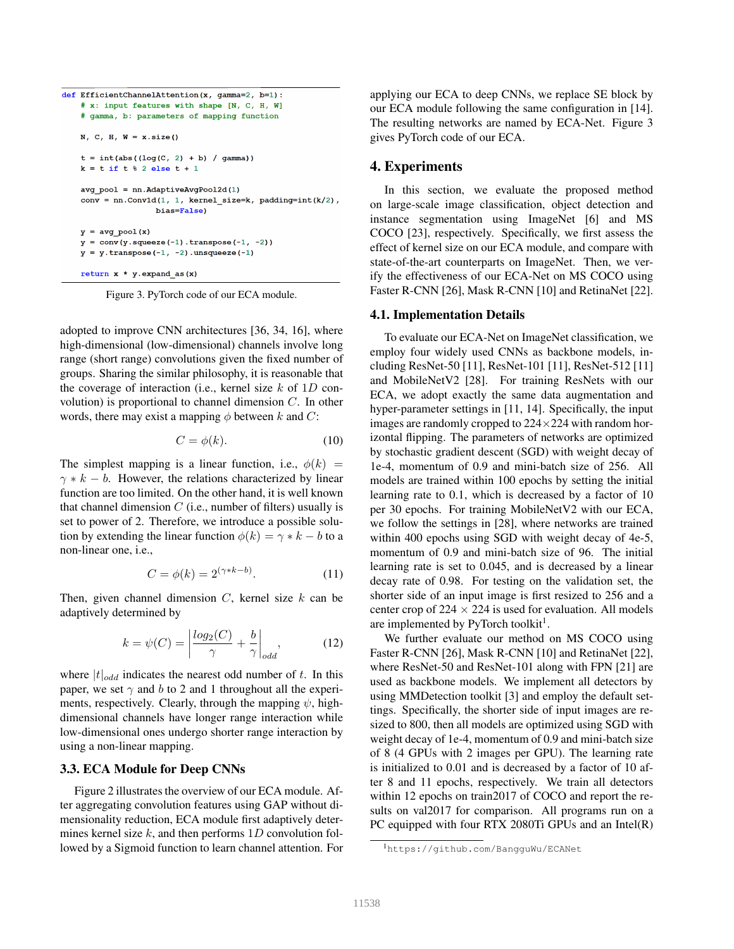```
def EfficientChannelAttention(x, gamma=2, b=1):
    # x: input features with shape [N. C. H. W]
   # gamma, b: parameters of mapping function
   N. C. H. W = x.size()t = int(abs((log(C, 2) + b) / gamma))k = t if t \text{ } 8 2 else t + 1avg\_pool = nn.AdaptiveAvgPool2d(1)conv = nn.Conv1d(1, 1, kernal_size=k, padding=int(k/2),bias=False)
   y = avg pool(x)y = conv(y,squeeze(-1).transpose(-1, -2))y = y. transpose (-1, -2). unsqueeze (-1)
   return x * y. expand_as(x)
```
Figure 3. PyTorch code of our ECA module.

adopted to improve CNN architectures [36, 34, 16], where high-dimensional (low-dimensional) channels involve long range (short range) convolutions given the fixed number of groups. Sharing the similar philosophy, it is reasonable that the coverage of interaction (i.e., kernel size  $k$  of 1D convolution) is proportional to channel dimension  $C$ . In other words, there may exist a mapping  $\phi$  between k and C:

$$
C = \phi(k). \tag{10}
$$

The simplest mapping is a linear function, i.e.,  $\phi(k)$  =  $\gamma * k - b$ . However, the relations characterized by linear function are too limited. On the other hand, it is well known that channel dimension  $C$  (i.e., number of filters) usually is set to power of 2. Therefore, we introduce a possible solution by extending the linear function  $\phi(k) = \gamma * k - b$  to a non-linear one, i.e.,

$$
C = \phi(k) = 2^{(\gamma * k - b)}.
$$
 (11)

Then, given channel dimension  $C$ , kernel size  $k$  can be adaptively determined by

$$
k = \psi(C) = \left| \frac{\log_2(C)}{\gamma} + \frac{b}{\gamma} \right|_{odd},\tag{12}
$$

where  $|t|_{odd}$  indicates the nearest odd number of t. In this paper, we set  $\gamma$  and b to 2 and 1 throughout all the experiments, respectively. Clearly, through the mapping  $\psi$ , highdimensional channels have longer range interaction while low-dimensional ones undergo shorter range interaction by using a non-linear mapping.

#### 3.3. ECA Module for Deep CNNs

Figure 2 illustrates the overview of our ECA module. After aggregating convolution features using GAP without dimensionality reduction, ECA module first adaptively determines kernel size  $k$ , and then performs 1D convolution followed by a Sigmoid function to learn channel attention. For applying our ECA to deep CNNs, we replace SE block by our ECA module following the same configuration in [14]. The resulting networks are named by ECA-Net. Figure 3 gives PyTorch code of our ECA.

#### 4. Experiments

In this section, we evaluate the proposed method on large-scale image classification, object detection and instance segmentation using ImageNet [6] and MS COCO [23], respectively. Specifically, we first assess the effect of kernel size on our ECA module, and compare with state-of-the-art counterparts on ImageNet. Then, we verify the effectiveness of our ECA-Net on MS COCO using Faster R-CNN [26], Mask R-CNN [10] and RetinaNet [22].

#### 4.1. Implementation Details

To evaluate our ECA-Net on ImageNet classification, we employ four widely used CNNs as backbone models, including ResNet-50 [11], ResNet-101 [11], ResNet-512 [11] and MobileNetV2 [28]. For training ResNets with our ECA, we adopt exactly the same data augmentation and hyper-parameter settings in [11, 14]. Specifically, the input images are randomly cropped to  $224 \times 224$  with random horizontal flipping. The parameters of networks are optimized by stochastic gradient descent (SGD) with weight decay of 1e-4, momentum of 0.9 and mini-batch size of 256. All models are trained within 100 epochs by setting the initial learning rate to 0.1, which is decreased by a factor of 10 per 30 epochs. For training MobileNetV2 with our ECA, we follow the settings in [28], where networks are trained within 400 epochs using SGD with weight decay of 4e-5, momentum of 0.9 and mini-batch size of 96. The initial learning rate is set to 0.045, and is decreased by a linear decay rate of 0.98. For testing on the validation set, the shorter side of an input image is first resized to 256 and a center crop of  $224 \times 224$  is used for evaluation. All models are implemented by PyTorch toolkit<sup>1</sup>.

We further evaluate our method on MS COCO using Faster R-CNN [26], Mask R-CNN [10] and RetinaNet [22], where ResNet-50 and ResNet-101 along with FPN [21] are used as backbone models. We implement all detectors by using MMDetection toolkit [3] and employ the default settings. Specifically, the shorter side of input images are resized to 800, then all models are optimized using SGD with weight decay of 1e-4, momentum of 0.9 and mini-batch size of 8 (4 GPUs with 2 images per GPU). The learning rate is initialized to 0.01 and is decreased by a factor of 10 after 8 and 11 epochs, respectively. We train all detectors within 12 epochs on train2017 of COCO and report the results on val2017 for comparison. All programs run on a PC equipped with four RTX 2080Ti GPUs and an Intel(R)

<sup>1</sup>https://github.com/BangguWu/ECANet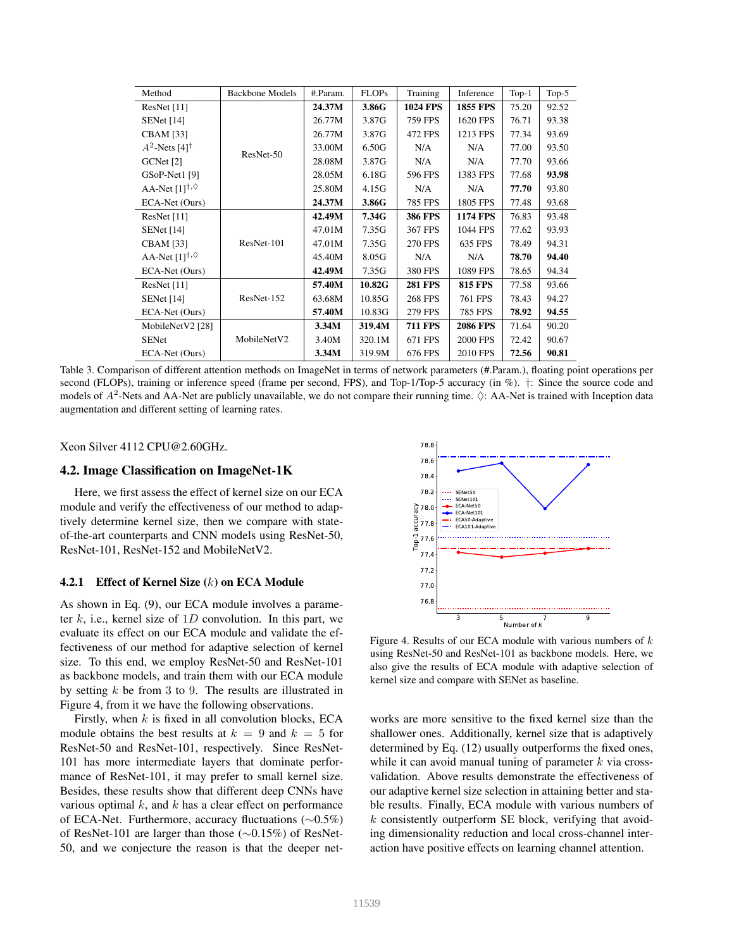| Method                                          | <b>Backbone Models</b> | #.Param. | <b>FLOPs</b> | Training        | Inference       | $Top-1$ | Top- $5$ |
|-------------------------------------------------|------------------------|----------|--------------|-----------------|-----------------|---------|----------|
| ResNet $[11]$                                   |                        | 24.37M   | 3.86G        | <b>1024 FPS</b> | <b>1855 FPS</b> | 75.20   | 92.52    |
| <b>SENet</b> [14]                               |                        | 26.77M   | 3.87G        | <b>759 FPS</b>  | 1620 FPS        | 76.71   | 93.38    |
| <b>CBAM</b> [33]                                |                        | 26.77M   | 3.87G        | 472 FPS         | 1213 FPS        | 77.34   | 93.69    |
| $A^2$ -Nets [4] <sup>†</sup>                    | ResNet-50              | 33.00M   | 6.50G        | N/A             | N/A             | 77.00   | 93.50    |
| GCNet [2]                                       |                        | 28.08M   | 3.87G        | N/A             | N/A             | 77.70   | 93.66    |
| GSoP-Net1 [9]                                   |                        | 28.05M   | 6.18G        | 596 FPS         | 1383 FPS        | 77.68   | 93.98    |
| AA-Net $[1]$ <sup>†,<math>\lozenge</math></sup> |                        | 25.80M   | 4.15G        | N/A             | N/A             | 77.70   | 93.80    |
| ECA-Net (Ours)                                  |                        | 24.37M   | 3.86G        | <b>785 FPS</b>  | 1805 FPS        | 77.48   | 93.68    |
| ResNet $[11]$                                   | ResNet-101             | 42.49M   | 7.34G        | <b>386 FPS</b>  | <b>1174 FPS</b> | 76.83   | 93.48    |
| <b>SENet</b> [14]                               |                        | 47.01M   | 7.35G        | 367 FPS         | 1044 FPS        | 77.62   | 93.93    |
| <b>CBAM</b> [33]                                |                        | 47.01M   | 7.35G        | <b>270 FPS</b>  | 635 FPS         | 78.49   | 94.31    |
| AA-Net $[1]^{†, \lozenge}$                      |                        | 45.40M   | 8.05G        | N/A             | N/A             | 78.70   | 94.40    |
| ECA-Net (Ours)                                  |                        | 42.49M   | 7.35G        | 380 FPS         | 1089 FPS        | 78.65   | 94.34    |
| ResNet [11]                                     |                        | 57.40M   | 10.82G       | <b>281 FPS</b>  | <b>815 FPS</b>  | 77.58   | 93.66    |
| <b>SENet</b> [14]                               | ResNet-152             | 63.68M   | 10.85G       | <b>268 FPS</b>  | 761 FPS         | 78.43   | 94.27    |
| ECA-Net (Ours)                                  |                        | 57.40M   | 10.83G       | 279 FPS         | 785 FPS         | 78.92   | 94.55    |
| MobileNetV2 [28]                                |                        | 3.34M    | 319.4M       | <b>711 FPS</b>  | <b>2086 FPS</b> | 71.64   | 90.20    |
| <b>SENet</b>                                    | MobileNetV2            | 3.40M    | 320.1M       | 671 FPS         | <b>2000 FPS</b> | 72.42   | 90.67    |
| ECA-Net (Ours)                                  |                        | 3.34M    | 319.9M       | 676 FPS         | 2010 FPS        | 72.56   | 90.81    |

Table 3. Comparison of different attention methods on ImageNet in terms of network parameters (#.Param.), floating point operations per second (FLOPs), training or inference speed (frame per second, FPS), and Top-1/Top-5 accuracy (in %). †: Since the source code and models of  $A^2$ -Nets and AA-Net are publicly unavailable, we do not compare their running time.  $\Diamond$ : AA-Net is trained with Inception data augmentation and different setting of learning rates.

Xeon Silver 4112 CPU@2.60GHz.

#### 4.2. Image Classification on ImageNet-1K

Here, we first assess the effect of kernel size on our ECA module and verify the effectiveness of our method to adaptively determine kernel size, then we compare with stateof-the-art counterparts and CNN models using ResNet-50, ResNet-101, ResNet-152 and MobileNetV2.

#### 4.2.1 Effect of Kernel Size (k) on ECA Module

As shown in Eq. (9), our ECA module involves a parameter k, i.e., kernel size of 1D convolution. In this part, we evaluate its effect on our ECA module and validate the effectiveness of our method for adaptive selection of kernel size. To this end, we employ ResNet-50 and ResNet-101 as backbone models, and train them with our ECA module by setting  $k$  be from 3 to 9. The results are illustrated in Figure 4, from it we have the following observations.

Firstly, when  $k$  is fixed in all convolution blocks, ECA module obtains the best results at  $k = 9$  and  $k = 5$  for ResNet-50 and ResNet-101, respectively. Since ResNet-101 has more intermediate layers that dominate performance of ResNet-101, it may prefer to small kernel size. Besides, these results show that different deep CNNs have various optimal  $k$ , and  $k$  has a clear effect on performance of ECA-Net. Furthermore, accuracy fluctuations (∼0.5%) of ResNet-101 are larger than those (∼0.15%) of ResNet-50, and we conjecture the reason is that the deeper net-



Figure 4. Results of our ECA module with various numbers of  $k$ using ResNet-50 and ResNet-101 as backbone models. Here, we also give the results of ECA module with adaptive selection of kernel size and compare with SENet as baseline.

works are more sensitive to the fixed kernel size than the shallower ones. Additionally, kernel size that is adaptively determined by Eq. (12) usually outperforms the fixed ones, while it can avoid manual tuning of parameter  $k$  via crossvalidation. Above results demonstrate the effectiveness of our adaptive kernel size selection in attaining better and stable results. Finally, ECA module with various numbers of  $k$  consistently outperform SE block, verifying that avoiding dimensionality reduction and local cross-channel interaction have positive effects on learning channel attention.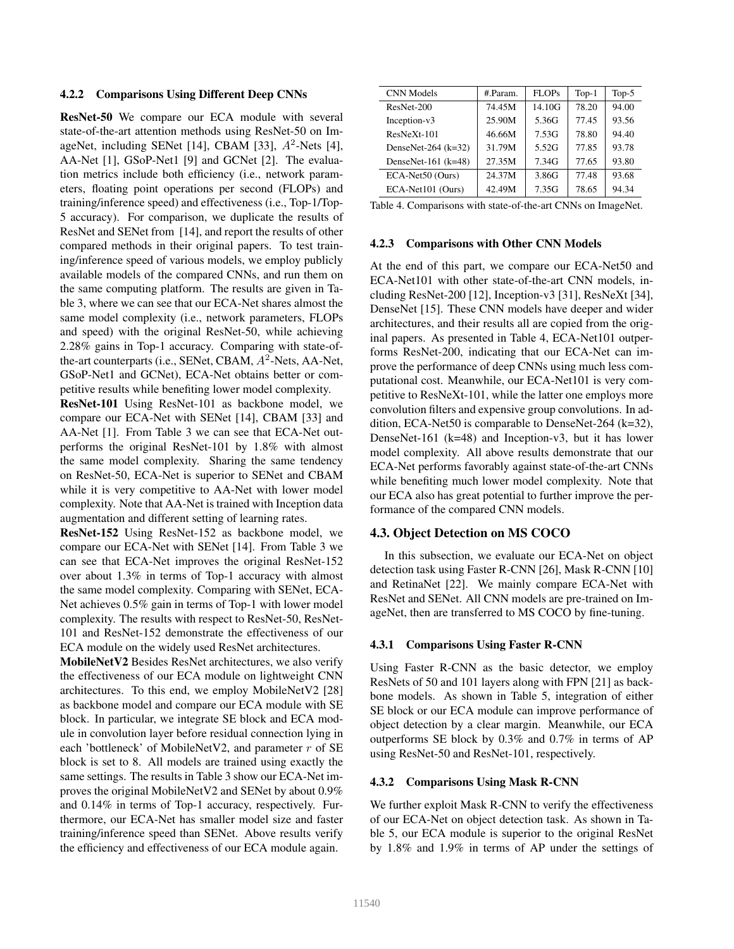#### 4.2.2 Comparisons Using Different Deep CNNs

ResNet-50 We compare our ECA module with several state-of-the-art attention methods using ResNet-50 on ImageNet, including SENet [14], CBAM [33],  $A^2$ -Nets [4], AA-Net [1], GSoP-Net1 [9] and GCNet [2]. The evaluation metrics include both efficiency (i.e., network parameters, floating point operations per second (FLOPs) and training/inference speed) and effectiveness (i.e., Top-1/Top-5 accuracy). For comparison, we duplicate the results of ResNet and SENet from [14], and report the results of other compared methods in their original papers. To test training/inference speed of various models, we employ publicly available models of the compared CNNs, and run them on the same computing platform. The results are given in Table 3, where we can see that our ECA-Net shares almost the same model complexity (i.e., network parameters, FLOPs and speed) with the original ResNet-50, while achieving 2.28% gains in Top-1 accuracy. Comparing with state-ofthe-art counterparts (i.e., SENet, CBAM,  $A^2$ -Nets, AA-Net, GSoP-Net1 and GCNet), ECA-Net obtains better or competitive results while benefiting lower model complexity.

ResNet-101 Using ResNet-101 as backbone model, we compare our ECA-Net with SENet [14], CBAM [33] and AA-Net [1]. From Table 3 we can see that ECA-Net outperforms the original ResNet-101 by 1.8% with almost the same model complexity. Sharing the same tendency on ResNet-50, ECA-Net is superior to SENet and CBAM while it is very competitive to AA-Net with lower model complexity. Note that AA-Net is trained with Inception data augmentation and different setting of learning rates.

ResNet-152 Using ResNet-152 as backbone model, we compare our ECA-Net with SENet [14]. From Table 3 we can see that ECA-Net improves the original ResNet-152 over about 1.3% in terms of Top-1 accuracy with almost the same model complexity. Comparing with SENet, ECA-Net achieves 0.5% gain in terms of Top-1 with lower model complexity. The results with respect to ResNet-50, ResNet-101 and ResNet-152 demonstrate the effectiveness of our ECA module on the widely used ResNet architectures.

MobileNetV2 Besides ResNet architectures, we also verify the effectiveness of our ECA module on lightweight CNN architectures. To this end, we employ MobileNetV2 [28] as backbone model and compare our ECA module with SE block. In particular, we integrate SE block and ECA module in convolution layer before residual connection lying in each 'bottleneck' of MobileNetV2, and parameter  $r$  of SE block is set to 8. All models are trained using exactly the same settings. The results in Table 3 show our ECA-Net improves the original MobileNetV2 and SENet by about 0.9% and 0.14% in terms of Top-1 accuracy, respectively. Furthermore, our ECA-Net has smaller model size and faster training/inference speed than SENet. Above results verify the efficiency and effectiveness of our ECA module again.

| <b>CNN</b> Models     | # Param. | FLOPs  | $Top-1$ | Top- $5$ |
|-----------------------|----------|--------|---------|----------|
| ResNet-200            | 74.45M   | 14.10G | 78.20   | 94.00    |
| Inception-v3          | 25.90M   | 5.36G  | 77.45   | 93.56    |
| $ResNeXt-101$         | 46.66M   | 7.53G  | 78.80   | 94.40    |
| DenseNet-264 $(k=32)$ | 31.79M   | 5.52G  | 77.85   | 93.78    |
| DenseNet-161 $(k=48)$ | 27.35M   | 7.34G  | 77.65   | 93.80    |
| ECA-Net50 (Ours)      | 24.37M   | 3.86G  | 77.48   | 93.68    |
| ECA-Net101 (Ours)     | 42.49M   | 7.35G  | 78.65   | 94.34    |

Table 4. Comparisons with state-of-the-art CNNs on ImageNet.

### 4.2.3 Comparisons with Other CNN Models

At the end of this part, we compare our ECA-Net50 and ECA-Net101 with other state-of-the-art CNN models, including ResNet-200 [12], Inception-v3 [31], ResNeXt [34], DenseNet [15]. These CNN models have deeper and wider architectures, and their results all are copied from the original papers. As presented in Table 4, ECA-Net101 outperforms ResNet-200, indicating that our ECA-Net can improve the performance of deep CNNs using much less computational cost. Meanwhile, our ECA-Net101 is very competitive to ResNeXt-101, while the latter one employs more convolution filters and expensive group convolutions. In addition, ECA-Net50 is comparable to DenseNet-264 (k=32), DenseNet-161 (k=48) and Inception-v3, but it has lower model complexity. All above results demonstrate that our ECA-Net performs favorably against state-of-the-art CNNs while benefiting much lower model complexity. Note that our ECA also has great potential to further improve the performance of the compared CNN models.

#### 4.3. Object Detection on MS COCO

In this subsection, we evaluate our ECA-Net on object detection task using Faster R-CNN [26], Mask R-CNN [10] and RetinaNet [22]. We mainly compare ECA-Net with ResNet and SENet. All CNN models are pre-trained on ImageNet, then are transferred to MS COCO by fine-tuning.

### 4.3.1 Comparisons Using Faster R-CNN

Using Faster R-CNN as the basic detector, we employ ResNets of 50 and 101 layers along with FPN [21] as backbone models. As shown in Table 5, integration of either SE block or our ECA module can improve performance of object detection by a clear margin. Meanwhile, our ECA outperforms SE block by 0.3% and 0.7% in terms of AP using ResNet-50 and ResNet-101, respectively.

#### 4.3.2 Comparisons Using Mask R-CNN

We further exploit Mask R-CNN to verify the effectiveness of our ECA-Net on object detection task. As shown in Table 5, our ECA module is superior to the original ResNet by 1.8% and 1.9% in terms of AP under the settings of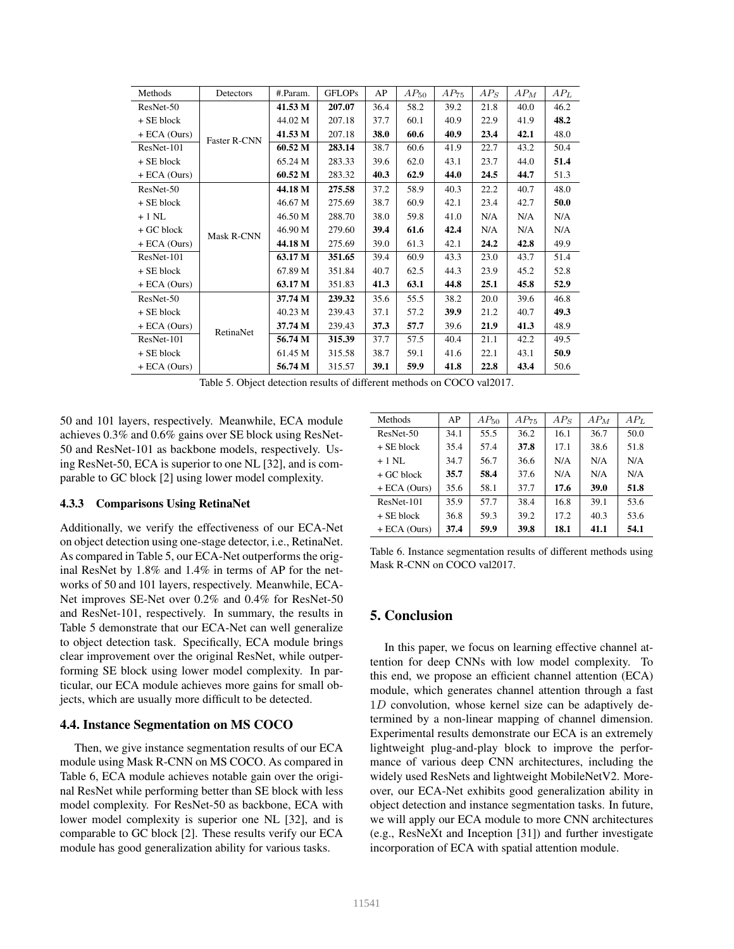| Methods        | Detectors           | #.Param. | <b>GFLOPs</b> | AP   | $AP_{50}$ | $AP_{75}$ | $AP_S$ | $AP_M$ | $AP_L$ |
|----------------|---------------------|----------|---------------|------|-----------|-----------|--------|--------|--------|
| ResNet-50      |                     | 41.53 M  | 207.07        | 36.4 | 58.2      | 39.2      | 21.8   | 40.0   | 46.2   |
| + SE block     |                     | 44.02 M  | 207.18        | 37.7 | 60.1      | 40.9      | 22.9   | 41.9   | 48.2   |
| $+ ECA (Ours)$ | <b>Faster R-CNN</b> | 41.53 M  | 207.18        | 38.0 | 60.6      | 40.9      | 23.4   | 42.1   | 48.0   |
| ResNet-101     |                     | 60.52 M  | 283.14        | 38.7 | 60.6      | 41.9      | 22.7   | 43.2   | 50.4   |
| + SE block     |                     | 65.24 M  | 283.33        | 39.6 | 62.0      | 43.1      | 23.7   | 44.0   | 51.4   |
| $+ ECA (Ours)$ |                     | 60.52 M  | 283.32        | 40.3 | 62.9      | 44.0      | 24.5   | 44.7   | 51.3   |
| ResNet-50      |                     | 44.18 M  | 275.58        | 37.2 | 58.9      | 40.3      | 22.2   | 40.7   | 48.0   |
| + SE block     |                     | 46.67 M  | 275.69        | 38.7 | 60.9      | 42.1      | 23.4   | 42.7   | 50.0   |
| $+1$ NL        |                     | 46.50 M  | 288.70        | 38.0 | 59.8      | 41.0      | N/A    | N/A    | N/A    |
| + GC block     | Mask R-CNN          | 46.90 M  | 279.60        | 39.4 | 61.6      | 42.4      | N/A    | N/A    | N/A    |
| $+ ECA (Ours)$ |                     | 44.18 M  | 275.69        | 39.0 | 61.3      | 42.1      | 24.2   | 42.8   | 49.9   |
| ResNet-101     |                     | 63.17 M  | 351.65        | 39.4 | 60.9      | 43.3      | 23.0   | 43.7   | 51.4   |
| + SE block     |                     | 67.89 M  | 351.84        | 40.7 | 62.5      | 44.3      | 23.9   | 45.2   | 52.8   |
| $+ ECA (Ours)$ |                     | 63.17 M  | 351.83        | 41.3 | 63.1      | 44.8      | 25.1   | 45.8   | 52.9   |
| ResNet-50      |                     | 37.74 M  | 239.32        | 35.6 | 55.5      | 38.2      | 20.0   | 39.6   | 46.8   |
| + SE block     |                     | 40.23 M  | 239.43        | 37.1 | 57.2      | 39.9      | 21.2   | 40.7   | 49.3   |
| $+ ECA (Ours)$ | RetinaNet           | 37.74 M  | 239.43        | 37.3 | 57.7      | 39.6      | 21.9   | 41.3   | 48.9   |
| ResNet-101     |                     | 56.74 M  | 315.39        | 37.7 | 57.5      | 40.4      | 21.1   | 42.2   | 49.5   |
| + SE block     |                     | 61.45 M  | 315.58        | 38.7 | 59.1      | 41.6      | 22.1   | 43.1   | 50.9   |
| $+ ECA (Ours)$ |                     | 56.74 M  | 315.57        | 39.1 | 59.9      | 41.8      | 22.8   | 43.4   | 50.6   |

Table 5. Object detection results of different methods on COCO val2017.

50 and 101 layers, respectively. Meanwhile, ECA module achieves 0.3% and 0.6% gains over SE block using ResNet-50 and ResNet-101 as backbone models, respectively. Using ResNet-50, ECA is superior to one NL [32], and is comparable to GC block [2] using lower model complexity.

### 4.3.3 Comparisons Using RetinaNet

Additionally, we verify the effectiveness of our ECA-Net on object detection using one-stage detector, i.e., RetinaNet. As compared in Table 5, our ECA-Net outperforms the original ResNet by 1.8% and 1.4% in terms of AP for the networks of 50 and 101 layers, respectively. Meanwhile, ECA-Net improves SE-Net over 0.2% and 0.4% for ResNet-50 and ResNet-101, respectively. In summary, the results in Table 5 demonstrate that our ECA-Net can well generalize to object detection task. Specifically, ECA module brings clear improvement over the original ResNet, while outperforming SE block using lower model complexity. In particular, our ECA module achieves more gains for small objects, which are usually more difficult to be detected.

#### 4.4. Instance Segmentation on MS COCO

Then, we give instance segmentation results of our ECA module using Mask R-CNN on MS COCO. As compared in Table 6, ECA module achieves notable gain over the original ResNet while performing better than SE block with less model complexity. For ResNet-50 as backbone, ECA with lower model complexity is superior one NL [32], and is comparable to GC block [2]. These results verify our ECA module has good generalization ability for various tasks.

| Methods        | AP   | $AP_{50}$ | $AP_{75}$ | $AP_S$ | $AP_M$ | AP <sub>L</sub> |
|----------------|------|-----------|-----------|--------|--------|-----------------|
| $ResNet-50$    | 34.1 | 55.5      | 36.2      | 16.1   | 36.7   | 50.0            |
| $+$ SE block   | 35.4 | 57.4      | 37.8      | 17.1   | 38.6   | 51.8            |
| $+1$ NL        | 34.7 | 56.7      | 36.6      | N/A    | N/A    | N/A             |
| $+$ GC block   | 35.7 | 58.4      | 37.6      | N/A    | N/A    | N/A             |
| $+ ECA (Ours)$ | 35.6 | 58.1      | 37.7      | 17.6   | 39.0   | 51.8            |
| ResNet-101     | 35.9 | 57.7      | 38.4      | 16.8   | 39.1   | 53.6            |
| $+$ SE block   | 36.8 | 59.3      | 39.2      | 17.2   | 40.3   | 53.6            |
| $+ ECA (Ours)$ | 37.4 | 59.9      | 39.8      | 18.1   | 41.1   | 54.1            |

Table 6. Instance segmentation results of different methods using Mask R-CNN on COCO val2017.

# 5. Conclusion

In this paper, we focus on learning effective channel attention for deep CNNs with low model complexity. To this end, we propose an efficient channel attention (ECA) module, which generates channel attention through a fast  $1D$  convolution, whose kernel size can be adaptively determined by a non-linear mapping of channel dimension. Experimental results demonstrate our ECA is an extremely lightweight plug-and-play block to improve the performance of various deep CNN architectures, including the widely used ResNets and lightweight MobileNetV2. Moreover, our ECA-Net exhibits good generalization ability in object detection and instance segmentation tasks. In future, we will apply our ECA module to more CNN architectures (e.g., ResNeXt and Inception [31]) and further investigate incorporation of ECA with spatial attention module.